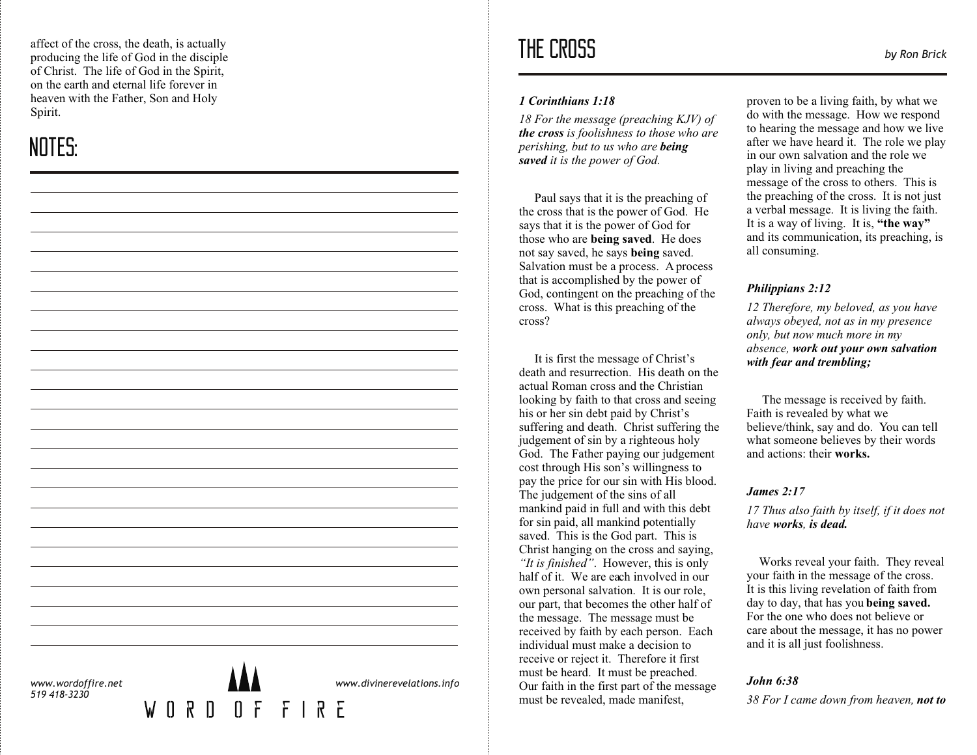affect of the cross, the death, is actually producing the life of God in the disciple of Christ. The life of God in the Spirit, on the earth and eternal life forever in heaven with the Father, Son and Holy Spirit.

# NOTES:

| www.wordoffire.net<br>519 418-3230 | W O | $[] \centering \includegraphics[width=0.47\textwidth]{images/TrDiM-Architecture.png} \caption{The 3D (top) and 4D (bottom) of the 3D (bottom) and 4D (bottom) of the 3D (bottom) and 4D (bottom).} \label{TrDiM-Architecture}$<br>$\mathbb{R}$ | $[] \centering \includegraphics[width=0.47\textwidth]{images/TrDiM-Architecture.png} \caption{The 3D (top) and 4D (bottom) are shown in the left and right.} \label{TrDiM-Architecture}$ | FFIRE | www.divinerevelations.info |
|------------------------------------|-----|------------------------------------------------------------------------------------------------------------------------------------------------------------------------------------------------------------------------------------------------|------------------------------------------------------------------------------------------------------------------------------------------------------------------------------------------|-------|----------------------------|
|                                    |     |                                                                                                                                                                                                                                                |                                                                                                                                                                                          |       |                            |
|                                    |     |                                                                                                                                                                                                                                                |                                                                                                                                                                                          |       |                            |
|                                    |     |                                                                                                                                                                                                                                                |                                                                                                                                                                                          |       |                            |
|                                    |     |                                                                                                                                                                                                                                                |                                                                                                                                                                                          |       |                            |
|                                    |     |                                                                                                                                                                                                                                                |                                                                                                                                                                                          |       |                            |
|                                    |     |                                                                                                                                                                                                                                                |                                                                                                                                                                                          |       |                            |
|                                    |     |                                                                                                                                                                                                                                                |                                                                                                                                                                                          |       |                            |
|                                    |     |                                                                                                                                                                                                                                                |                                                                                                                                                                                          |       |                            |
|                                    |     |                                                                                                                                                                                                                                                |                                                                                                                                                                                          |       |                            |
|                                    |     |                                                                                                                                                                                                                                                |                                                                                                                                                                                          |       |                            |
|                                    |     |                                                                                                                                                                                                                                                |                                                                                                                                                                                          |       |                            |

## THE CROSS *by Ron Brick*

#### *1 Corinthians 1:18*

*18 For the message (preaching KJV) of the cross is foolishness to those who are perishing, but to us who are being saved it is the power of God.* 

Paul says that it is the preaching of the cross that is the power of God. He says that it is the power of God for those who are **being saved**. He does not say saved, he says **being** saved. Salvation must be a process. A process that is accomplished by the power of God, contingent on the preaching of the cross. What is this preaching of the cross?

 It is first the message of Christ's death and resurrection. His death on the actual Roman cross and the Christian looking by faith to that cross and seeing his or her sin debt paid by Christ's suffering and death. Christ suffering the judgement of sin by a righteous holy God. The Father paying our judgement cost through His son's willingness to pay the price for our sin with His blood. The judgement of the sins of all mankind paid in full and with this debt for sin paid, all mankind potentially saved. This is the God part. This is Christ hanging on the cross and saying, *"It is finished"*. However, this is only half of it. We are each involved in our own personal salvation. It is our role, our part, that becomes the other half of the message. The message must be received by faith by each person. Each individual must make a decision to receive or reject it. Therefore it first must be heard. It must be preached. Our faith in the first part of the message must be revealed, made manifest,

proven to be a living faith, by what we do with the message. How we respond to hearing the message and how we live after we have heard it. The role we play in our own salvation and the role we play in living and preaching the message of the cross to others. This is the preaching of the cross. It is not just a verbal message. It is living the faith. It is a way of living. It is, **"the way"** and its communication, its preaching, is all consuming.

## *Philippians 2:12*

*12 Therefore, my beloved, as you have always obeyed, not as in my presence only, but now much more in my absence, work out your own salvation with fear and trembling;*

 The message is received by faith. Faith is revealed by what we believe/think, say and do. You can tell what someone believes by their words and actions: their **works.**

#### *James 2:17*

*17 Thus also faith by itself, if it does not have works , is dead.*

Works reveal your faith. They reveal your faith in the message of the cross. It is this living revelation of faith from day to day, that has you **being saved.**  For the one who does not believe or care about the message, it has no power and it is all just foolishness.

## *John 6:38*

*38 For I came down from heaven, not to*